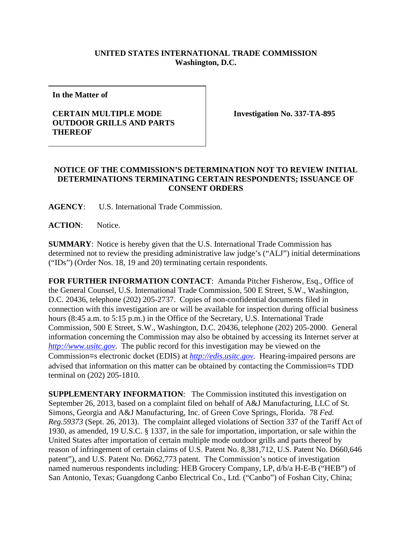## **UNITED STATES INTERNATIONAL TRADE COMMISSION Washington, D.C.**

**In the Matter of**

## **CERTAIN MULTIPLE MODE OUTDOOR GRILLS AND PARTS THEREOF**

**Investigation No. 337-TA-895**

## **NOTICE OF THE COMMISSION'S DETERMINATION NOT TO REVIEW INITIAL DETERMINATIONS TERMINATING CERTAIN RESPONDENTS; ISSUANCE OF CONSENT ORDERS**

**AGENCY**: U.S. International Trade Commission.

**ACTION**: Notice.

**SUMMARY**: Notice is hereby given that the U.S. International Trade Commission has determined not to review the presiding administrative law judge's ("ALJ") initial determinations ("IDs") (Order Nos. 18, 19 and 20) terminating certain respondents.

**FOR FURTHER INFORMATION CONTACT**: Amanda Pitcher Fisherow, Esq., Office of the General Counsel, U.S. International Trade Commission, 500 E Street, S.W., Washington, D.C. 20436, telephone (202) 205-2737. Copies of non-confidential documents filed in connection with this investigation are or will be available for inspection during official business hours (8:45 a.m. to 5:15 p.m.) in the Office of the Secretary, U.S. International Trade Commission, 500 E Street, S.W., Washington, D.C. 20436, telephone (202) 205-2000. General information concerning the Commission may also be obtained by accessing its Internet server at *[http://www.usitc.gov](http://www.usitc.gov/)*. The public record for this investigation may be viewed on the Commission=s electronic docket (EDIS) at *[http://edis.usitc.gov](http://edis.usitc.gov/)*. Hearing-impaired persons are advised that information on this matter can be obtained by contacting the Commission=s TDD terminal on (202) 205-1810.

**SUPPLEMENTARY INFORMATION:** The Commission instituted this investigation on September 26, 2013, based on a complaint filed on behalf of A&J Manufacturing, LLC of St. Simons, Georgia and A&J Manufacturing, Inc. of Green Cove Springs, Florida. 78 *Fed. Reg.59373* (Sept. 26, 2013). The complaint alleged violations of Section 337 of the Tariff Act of 1930, as amended, 19 U.S.C. § 1337, in the sale for importation, importation, or sale within the United States after importation of certain multiple mode outdoor grills and parts thereof by reason of infringement of certain claims of U.S. Patent No. 8,381,712, U.S. Patent No. D660,646 patent"), and U.S. Patent No. D662,773 patent. The Commission's notice of investigation named numerous respondents including: HEB Grocery Company, LP, d/b/a H-E-B ("HEB") of San Antonio, Texas; Guangdong Canbo Electrical Co., Ltd. ("Canbo") of Foshan City, China;